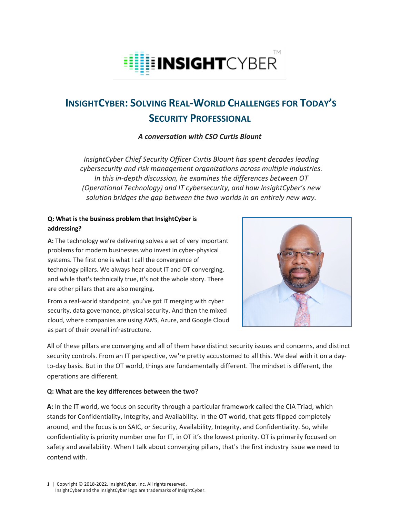

# **INSIGHTCYBER: SOLVING REAL-WORLD CHALLENGES FOR TODAY'S SECURITY PROFESSIONAL**

*A conversation with CSO Curtis Blount*

*InsightCyber Chief Security Officer Curtis Blount has spent decades leading cybersecurity and risk management organizations across multiple industries. In this in-depth discussion, he examines the differences between OT (Operational Technology) and IT cybersecurity, and how InsightCyber's new solution bridges the gap between the two worlds in an entirely new way.*

## **Q: What is the business problem that InsightCyber is addressing?**

**A:** The technology we're delivering solves a set of very important problems for modern businesses who invest in cyber-physical systems. The first one is what I call the convergence of technology pillars. We always hear about IT and OT converging, and while that's technically true, it's not the whole story. There are other pillars that are also merging.

From a real-world standpoint, you've got IT merging with cyber security, data governance, physical security. And then the mixed cloud, where companies are using AWS, Azure, and Google Cloud as part of their overall infrastructure.



All of these pillars are converging and all of them have distinct security issues and concerns, and distinct security controls. From an IT perspective, we're pretty accustomed to all this. We deal with it on a dayto-day basis. But in the OT world, things are fundamentally different. The mindset is different, the operations are different.

## **Q: What are the key differences between the two?**

**A:** In the IT world, we focus on security through a particular framework called the CIA Triad, which stands for Confidentiality, Integrity, and Availability. In the OT world, that gets flipped completely around, and the focus is on SAIC, or Security, Availability, Integrity, and Confidentiality. So, while confidentiality is priority number one for IT, in OT it's the lowest priority. OT is primarily focused on safety and availability. When I talk about converging pillars, that's the first industry issue we need to contend with.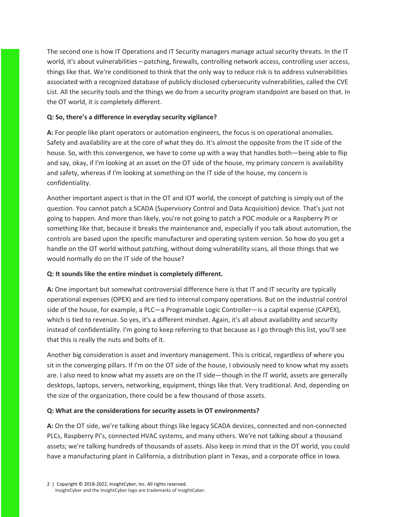The second one is how IT Operations and IT Security managers manage actual security threats. In the IT world, it's about vulnerabilities – patching, firewalls, controlling network access, controlling user access, things like that. We're conditioned to think that the only way to reduce risk is to address vulnerabilities associated with a recognized database of publicly disclosed cybersecurity vulnerabilities, called the CVE List. All the security tools and the things we do from a security program standpoint are based on that. In the OT world, it is completely different.

## **Q: So, there's a difference in everyday security vigilance?**

**A:** For people like plant operators or automation engineers, the focus is on operational anomalies. Safety and availability are at the core of what they do. It's almost the opposite from the IT side of the house. So, with this convergence, we have to come up with a way that handles both—being able to flip and say, okay, if I'm looking at an asset on the OT side of the house, my primary concern is availability and safety, whereas if I'm looking at something on the IT side of the house, my concern is confidentiality.

Another important aspect is that in the OT and IOT world, the concept of patching is simply out of the question. You cannot patch a SCADA (Supervisory Control and Data Acquisition) device. That's just not going to happen. And more than likely, you're not going to patch a POC module or a Raspberry PI or something like that, because it breaks the maintenance and, especially if you talk about automation, the controls are based upon the specific manufacturer and operating system version. So how do you get a handle on the OT world without patching, without doing vulnerability scans, all those things that we would normally do on the IT side of the house?

## **Q: It sounds like the entire mindset is completely different.**

**A:** One important but somewhat controversial difference here is that IT and IT security are typically operational expenses (OPEX) and are tied to internal company operations. But on the industrial control side of the house, for example, a PLC—a Programable Logic Controller—is a capital expense (CAPEX), which is tied to revenue. So yes, it's a different mindset. Again, it's all about availability and security instead of confidentiality. I'm going to keep referring to that because as I go through this list, you'll see that this is really the nuts and bolts of it.

Another big consideration is asset and inventory management. This is critical, regardless of where you sit in the converging pillars. If I'm on the OT side of the house, I obviously need to know what my assets are. I also need to know what my assets are on the IT side—though in the IT world, assets are generally desktops, laptops, servers, networking, equipment, things like that. Very traditional. And, depending on the size of the organization, there could be a few thousand of those assets.

## **Q: What are the considerations for security assets in OT environments?**

**A:** On the OT side, we're talking about things like legacy SCADA devices, connected and non-connected PLCs, Raspberry Pi's, connected HVAC systems, and many others. We're not talking about a thousand assets; we're talking hundreds of thousands of assets. Also keep in mind that in the OT world, you could have a manufacturing plant in California, a distribution plant in Texas, and a corporate office in Iowa.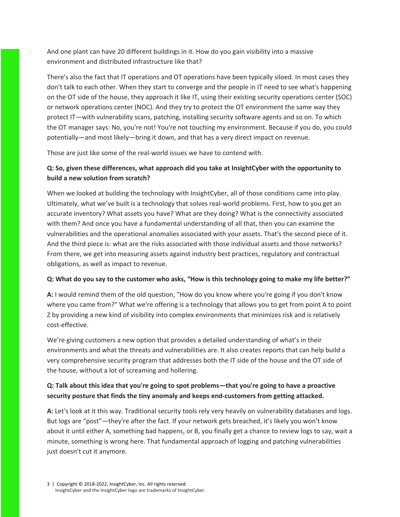And one plant can have 20 different buildings in it. How do you gain visibility into a massive environment and distributed infrastructure like that?

There's also the fact that IT operations and OT operations have been typically siloed. In most cases they don't talk to each other. When they start to converge and the people in IT need to see what's happening on the OT side of the house, they approach it like IT, using their existing security operations center (SOC) or network operations center (NOC). And they try to protect the OT environment the same way they protect IT—with vulnerability scans, patching, installing security software agents and so on. To which the OT manager says: No, you're not! You're not touching my environment. Because if you do, you could potentially—and most likely—bring it down, and that has a very direct impact on revenue.

Those are just like some of the real-world issues we have to contend with.

# **Q: So, given these differences, what approach did you take at InsightCyber with the opportunity to build a new solution from scratch?**

When we looked at building the technology with InsightCyber, all of those conditions came into play. Ultimately, what we've built is a technology that solves real-world problems. First, how to you get an accurate inventory? What assets you have? What are they doing? What is the connectivity associated with them? And once you have a fundamental understanding of all that, then you can examine the vulnerabilities and the operational anomalies associated with your assets. That's the second piece of it. And the third piece is: what are the risks associated with those individual assets and those networks? From there, we get into measuring assets against industry best practices, regulatory and contractual obligations, as well as impact to revenue.

## **Q: What do you say to the customer who asks, "How is this technology going to make my life better?"**

**A:** I would remind them of the old question, "How do you know where you're going if you don't know where you came from?" What we're offering is a technology that allows you to get from point A to point Z by providing a new kind of visibility into complex environments that minimizes risk and is relatively cost-effective.

We're giving customers a new option that provides a detailed understanding of what's in their environments and what the threats and vulnerabilities are. It also creates reports that can help build a very comprehensive security program that addresses both the IT side of the house and the OT side of the house, without a lot of screaming and hollering.

# **Q: Talk about this idea that you're going to spot problems—that you're going to have a proactive security posture that finds the tiny anomaly and keeps end-customers from getting attacked.**

**A:** Let's look at it this way. Traditional security tools rely very heavily on vulnerability databases and logs. But logs are "post"—they're after the fact. If your network gets breached, it's likely you won't know about it until either A, something bad happens, or B, you finally get a chance to review logs to say, wait a minute, something is wrong here. That fundamental approach of logging and patching vulnerabilities just doesn't cut it anymore.

3 | Copyright © 2018-2022, InsightCyber, Inc. All rights reserved. InsightCyber and the InsightCyber logo are trademarks of InsightCyber.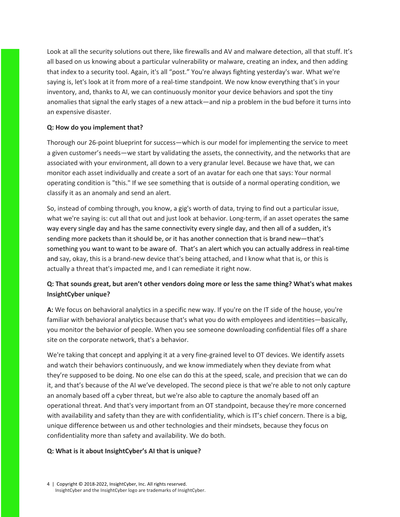Look at all the security solutions out there, like firewalls and AV and malware detection, all that stuff. It's all based on us knowing about a particular vulnerability or malware, creating an index, and then adding that index to a security tool. Again, it's all "post." You're always fighting yesterday's war. What we're saying is, let's look at it from more of a real-time standpoint. We now know everything that's in your inventory, and, thanks to AI, we can continuously monitor your device behaviors and spot the tiny anomalies that signal the early stages of a new attack—and nip a problem in the bud before it turns into an expensive disaster.

## **Q: How do you implement that?**

Thorough our 26-point blueprint for success—which is our model for implementing the service to meet a given customer's needs—we start by validating the assets, the connectivity, and the networks that are associated with your environment, all down to a very granular level. Because we have that, we can monitor each asset individually and create a sort of an avatar for each one that says: Your normal operating condition is "this." If we see something that is outside of a normal operating condition, we classify it as an anomaly and send an alert.

So, instead of combing through, you know, a gig's worth of data, trying to find out a particular issue, what we're saying is: cut all that out and just look at behavior. Long-term, if an asset operates the same way every single day and has the same connectivity every single day, and then all of a sudden, it's sending more packets than it should be, or it has another connection that is brand new—that's something you want to want to be aware of. That's an alert which you can actually address in real-time and say, okay, this is a brand-new device that's being attached, and I know what that is, or this is actually a threat that's impacted me, and I can remediate it right now.

# **Q: That sounds great, but aren't other vendors doing more or less the same thing? What's what makes InsightCyber unique?**

**A:** We focus on behavioral analytics in a specific new way. If you're on the IT side of the house, you're familiar with behavioral analytics because that's what you do with employees and identities—basically, you monitor the behavior of people. When you see someone downloading confidential files off a share site on the corporate network, that's a behavior.

We're taking that concept and applying it at a very fine-grained level to OT devices. We identify assets and watch their behaviors continuously, and we know immediately when they deviate from what they're supposed to be doing. No one else can do this at the speed, scale, and precision that we can do it, and that's because of the AI we've developed. The second piece is that we're able to not only capture an anomaly based off a cyber threat, but we're also able to capture the anomaly based off an operational threat. And that's very important from an OT standpoint, because they're more concerned with availability and safety than they are with confidentiality, which is IT's chief concern. There is a big, unique difference between us and other technologies and their mindsets, because they focus on confidentiality more than safety and availability. We do both.

## **Q: What is it about InsightCyber's AI that is unique?**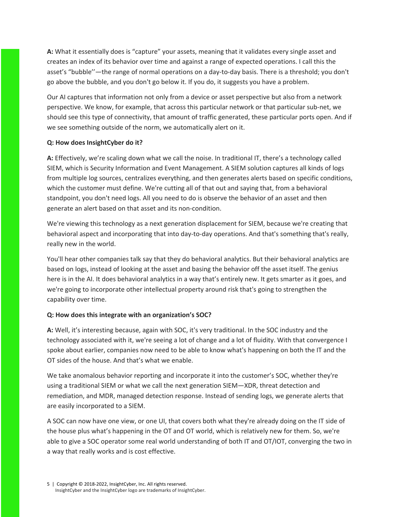**A:** What it essentially does is "capture" your assets, meaning that it validates every single asset and creates an index of its behavior over time and against a range of expected operations. I call this the asset's "bubble''—the range of normal operations on a day-to-day basis. There is a threshold; you don't go above the bubble, and you don't go below it. If you do, it suggests you have a problem.

Our AI captures that information not only from a device or asset perspective but also from a network perspective. We know, for example, that across this particular network or that particular sub-net, we should see this type of connectivity, that amount of traffic generated, these particular ports open. And if we see something outside of the norm, we automatically alert on it.

#### **Q: How does InsightCyber do it?**

**A:** Effectively, we're scaling down what we call the noise. In traditional IT, there's a technology called SIEM, which is Security Information and Event Management. A SIEM solution captures all kinds of logs from multiple log sources, centralizes everything, and then generates alerts based on specific conditions, which the customer must define. We're cutting all of that out and saying that, from a behavioral standpoint, you don't need logs. All you need to do is observe the behavior of an asset and then generate an alert based on that asset and its non-condition.

We're viewing this technology as a next generation displacement for SIEM, because we're creating that behavioral aspect and incorporating that into day-to-day operations. And that's something that's really, really new in the world.

You'll hear other companies talk say that they do behavioral analytics. But their behavioral analytics are based on logs, instead of looking at the asset and basing the behavior off the asset itself. The genius here is in the AI. It does behavioral analytics in a way that's entirely new. It gets smarter as it goes, and we're going to incorporate other intellectual property around risk that's going to strengthen the capability over time.

## **Q: How does this integrate with an organization's SOC?**

**A:** Well, it's interesting because, again with SOC, it's very traditional. In the SOC industry and the technology associated with it, we're seeing a lot of change and a lot of fluidity. With that convergence I spoke about earlier, companies now need to be able to know what's happening on both the IT and the OT sides of the house. And that's what we enable.

We take anomalous behavior reporting and incorporate it into the customer's SOC, whether they're using a traditional SIEM or what we call the next generation SIEM—XDR, threat detection and remediation, and MDR, managed detection response. Instead of sending logs, we generate alerts that are easily incorporated to a SIEM.

A SOC can now have one view, or one UI, that covers both what they're already doing on the IT side of the house plus what's happening in the OT and OT world, which is relatively new for them. So, we're able to give a SOC operator some real world understanding of both IT and OT/IOT, converging the two in a way that really works and is cost effective.

5 | Copyright © 2018-2022, InsightCyber, Inc. All rights reserved. InsightCyber and the InsightCyber logo are trademarks of InsightCyber.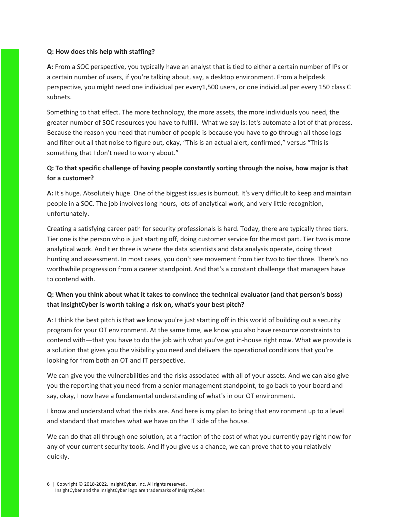## **Q: How does this help with staffing?**

**A:** From a SOC perspective, you typically have an analyst that is tied to either a certain number of IPs or a certain number of users, if you're talking about, say, a desktop environment. From a helpdesk perspective, you might need one individual per every1,500 users, or one individual per every 150 class C subnets.

Something to that effect. The more technology, the more assets, the more individuals you need, the greater number of SOC resources you have to fulfill. What we say is: let's automate a lot of that process. Because the reason you need that number of people is because you have to go through all those logs and filter out all that noise to figure out, okay, "This is an actual alert, confirmed," versus "This is something that I don't need to worry about."

# **Q: To that specific challenge of having people constantly sorting through the noise, how major is that for a customer?**

**A:** It's huge. Absolutely huge. One of the biggest issues is burnout. It's very difficult to keep and maintain people in a SOC. The job involves long hours, lots of analytical work, and very little recognition, unfortunately.

Creating a satisfying career path for security professionals is hard. Today, there are typically three tiers. Tier one is the person who is just starting off, doing customer service for the most part. Tier two is more analytical work. And tier three is where the data scientists and data analysis operate, doing threat hunting and assessment. In most cases, you don't see movement from tier two to tier three. There's no worthwhile progression from a career standpoint. And that's a constant challenge that managers have to contend with.

## **Q: When you think about what it takes to convince the technical evaluator (and that person's boss) that InsightCyber is worth taking a risk on, what's your best pitch?**

**A**: I think the best pitch is that we know you're just starting off in this world of building out a security program for your OT environment. At the same time, we know you also have resource constraints to contend with—that you have to do the job with what you've got in-house right now. What we provide is a solution that gives you the visibility you need and delivers the operational conditions that you're looking for from both an OT and IT perspective.

We can give you the vulnerabilities and the risks associated with all of your assets. And we can also give you the reporting that you need from a senior management standpoint, to go back to your board and say, okay, I now have a fundamental understanding of what's in our OT environment.

I know and understand what the risks are. And here is my plan to bring that environment up to a level and standard that matches what we have on the IT side of the house.

We can do that all through one solution, at a fraction of the cost of what you currently pay right now for any of your current security tools. And if you give us a chance, we can prove that to you relatively quickly.

<sup>6 |</sup> Copyright © 2018-2022, InsightCyber, Inc. All rights reserved. InsightCyber and the InsightCyber logo are trademarks of InsightCyber.